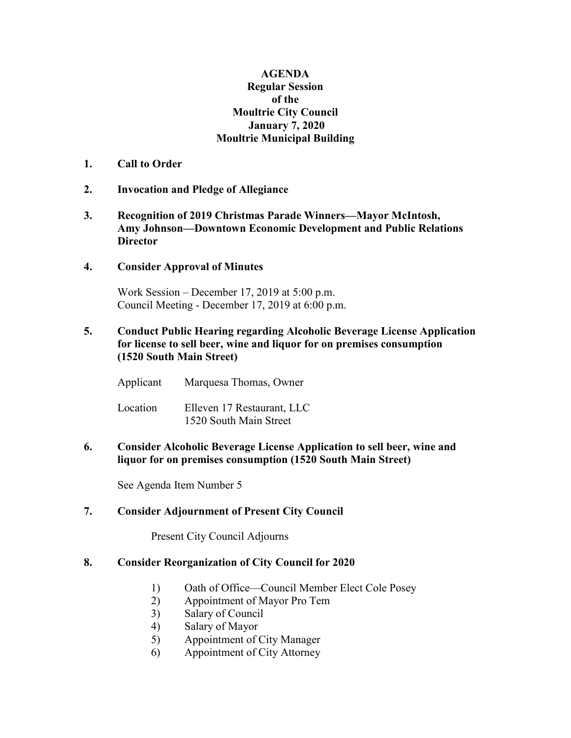## **AGENDA Regular Session of the Moultrie City Council January 7, 2020 Moultrie Municipal Building**

- **1. Call to Order**
- **2. Invocation and Pledge of Allegiance**
- **3. Recognition of 2019 Christmas Parade Winners—Mayor McIntosh, Amy Johnson—Downtown Economic Development and Public Relations Director**
- **4. Consider Approval of Minutes**

Work Session – December 17, 2019 at 5:00 p.m. Council Meeting - December 17, 2019 at 6:00 p.m.

**5. Conduct Public Hearing regarding Alcoholic Beverage License Application for license to sell beer, wine and liquor for on premises consumption (1520 South Main Street)**

Applicant Marquesa Thomas, Owner

Location Elleven 17 Restaurant, LLC 1520 South Main Street

**6. Consider Alcoholic Beverage License Application to sell beer, wine and liquor for on premises consumption (1520 South Main Street)**

See Agenda Item Number 5

## **7. Consider Adjournment of Present City Council**

Present City Council Adjourns

## **8. Consider Reorganization of City Council for 2020**

- 1) Oath of Office—Council Member Elect Cole Posey
- 2) Appointment of Mayor Pro Tem
- 3) Salary of Council
- 4) Salary of Mayor
- 5) Appointment of City Manager
- 6) Appointment of City Attorney